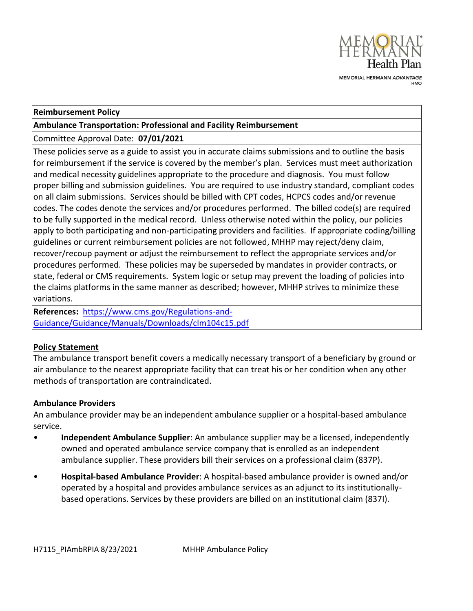

MEMORIAL HERMANN ADVANTAGE

#### **Reimbursement Policy**

#### **Ambulance Transportation: Professional and Facility Reimbursement**

### Committee Approval Date: **07/01/2021**

These policies serve as a guide to assist you in accurate claims submissions and to outline the basis for reimbursement if the service is covered by the member's plan. Services must meet authorization and medical necessity guidelines appropriate to the procedure and diagnosis. You must follow proper billing and submission guidelines. You are required to use industry standard, compliant codes on all claim submissions. Services should be billed with CPT codes, HCPCS codes and/or revenue codes. The codes denote the services and/or procedures performed. The billed code(s) are required to be fully supported in the medical record. Unless otherwise noted within the policy, our policies apply to both participating and non-participating providers and facilities. If appropriate coding/billing guidelines or current reimbursement policies are not followed, MHHP may reject/deny claim, recover/recoup payment or adjust the reimbursement to reflect the appropriate services and/or procedures performed. These policies may be superseded by mandates in provider contracts, or state, federal or CMS requirements. System logic or setup may prevent the loading of policies into the claims platforms in the same manner as described; however, MHHP strives to minimize these variations.

**References:** [https://www.cms.gov/Regulations-and-](https://www.cms.gov/Regulations-and-Guidance/Guidance/Manuals/Downloads/clm104c15.pdf)[Guidance/Guidance/Manuals/Downloads/clm104c15.pdf](https://www.cms.gov/Regulations-and-Guidance/Guidance/Manuals/Downloads/clm104c15.pdf)

#### **Policy Statement**

The ambulance transport benefit covers a medically necessary transport of a beneficiary by ground or air ambulance to the nearest appropriate facility that can treat his or her condition when any other methods of transportation are contraindicated.

#### **Ambulance Providers**

An ambulance provider may be an independent ambulance supplier or a hospital-based ambulance service.

- **Independent Ambulance Supplier**: An ambulance supplier may be a licensed, independently owned and operated ambulance service company that is enrolled as an independent ambulance supplier. These providers bill their services on a professional claim (837P).
- **Hospital-based Ambulance Provider**: A hospital-based ambulance provider is owned and/or operated by a hospital and provides ambulance services as an adjunct to its institutionallybased operations. Services by these providers are billed on an institutional claim (837I).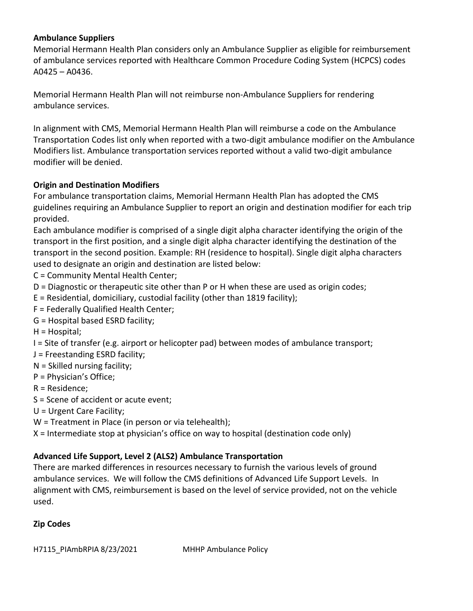## **Ambulance Suppliers**

Memorial Hermann Health Plan considers only an Ambulance Supplier as eligible for reimbursement of ambulance services reported with Healthcare Common Procedure Coding System (HCPCS) codes A0425 – A0436.

Memorial Hermann Health Plan will not reimburse non-Ambulance Suppliers for rendering ambulance services.

In alignment with CMS, Memorial Hermann Health Plan will reimburse a code on the Ambulance Transportation Codes list only when reported with a two-digit ambulance modifier on the Ambulance Modifiers list. Ambulance transportation services reported without a valid two-digit ambulance modifier will be denied.

## **Origin and Destination Modifiers**

For ambulance transportation claims, Memorial Hermann Health Plan has adopted the CMS guidelines requiring an Ambulance Supplier to report an origin and destination modifier for each trip provided.

Each ambulance modifier is comprised of a single digit alpha character identifying the origin of the transport in the first position, and a single digit alpha character identifying the destination of the transport in the second position. Example: RH (residence to hospital). Single digit alpha characters used to designate an origin and destination are listed below:

- C = Community Mental Health Center;
- D = Diagnostic or therapeutic site other than P or H when these are used as origin codes;
- E = Residential, domiciliary, custodial facility (other than 1819 facility);
- F = Federally Qualified Health Center;
- G = Hospital based ESRD facility;
- H = Hospital;
- I = Site of transfer (e.g. airport or helicopter pad) between modes of ambulance transport;
- J = Freestanding ESRD facility;
- N = Skilled nursing facility;
- P = Physician's Office;
- R = Residence;
- S = Scene of accident or acute event;
- U = Urgent Care Facility;
- W = Treatment in Place (in person or via telehealth);

X = Intermediate stop at physician's office on way to hospital (destination code only)

## **Advanced Life Support, Level 2 (ALS2) Ambulance Transportation**

There are marked differences in resources necessary to furnish the various levels of ground ambulance services. We will follow the CMS definitions of Advanced Life Support Levels. In alignment with CMS, reimbursement is based on the level of service provided, not on the vehicle used.

## **Zip Codes**

H7115\_PIAmbRPIA 8/23/2021 MHHP Ambulance Policy